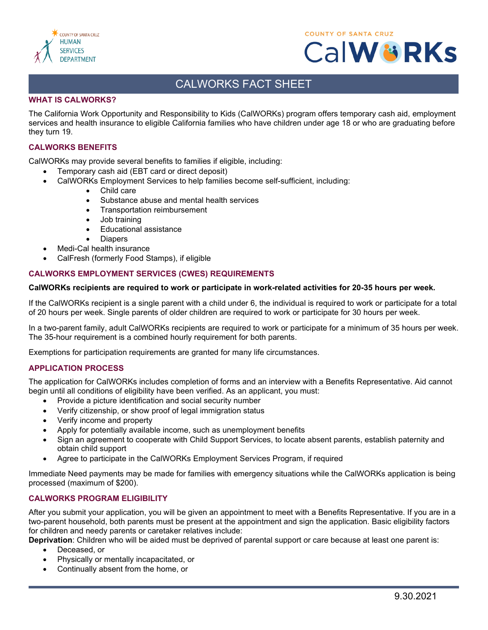



# CALWORKS FACT SHEET

## **WHAT IS CALWORKS?**

The California Work Opportunity and Responsibility to Kids (CalWORKs) program offers temporary cash aid, employment services and health insurance to eligible California families who have children under age 18 or who are graduating before they turn 19.

#### **CALWORKS BENEFITS**

CalWORKs may provide several benefits to families if eligible, including:

- Temporary cash aid (EBT card or direct deposit)
	- CalWORKs Employment Services to help families become self-sufficient, including:
		- Child care
		- Substance abuse and mental health services
		- Transportation reimbursement
		- Job training
		- Educational assistance
		- **Diapers**
- Medi-Cal health insurance
- CalFresh (formerly Food Stamps), if eligible

## **CALWORKS EMPLOYMENT SERVICES (CWES) REQUIREMENTS**

#### **CalWORKs recipients are required to work or participate in work-related activities for 20-35 hours per week.**

If the CalWORKs recipient is a single parent with a child under 6, the individual is required to work or participate for a total of 20 hours per week. Single parents of older children are required to work or participate for 30 hours per week.

In a two-parent family, adult CalWORKs recipients are required to work or participate for a minimum of 35 hours per week. The 35-hour requirement is a combined hourly requirement for both parents.

Exemptions for participation requirements are granted for many life circumstances.

## **APPLICATION PROCESS**

The application for CalWORKs includes completion of forms and an interview with a Benefits Representative. Aid cannot begin until all conditions of eligibility have been verified. As an applicant, you must:

- Provide a picture identification and social security number
- Verify citizenship, or show proof of legal immigration status
- Verify income and property
- Apply for potentially available income, such as unemployment benefits
- Sign an agreement to cooperate with Child Support Services, to locate absent parents, establish paternity and obtain child support
- Agree to participate in the CalWORKs Employment Services Program, if required

Immediate Need payments may be made for families with emergency situations while the CalWORKs application is being processed (maximum of \$200).

## **CALWORKS PROGRAM ELIGIBILITY**

After you submit your application, you will be given an appointment to meet with a Benefits Representative. If you are in a two-parent household, both parents must be present at the appointment and sign the application. Basic eligibility factors for children and needy parents or caretaker relatives include:

**Deprivation**: Children who will be aided must be deprived of parental support or care because at least one parent is:

- Deceased, or
- Physically or mentally incapacitated, or
- Continually absent from the home, or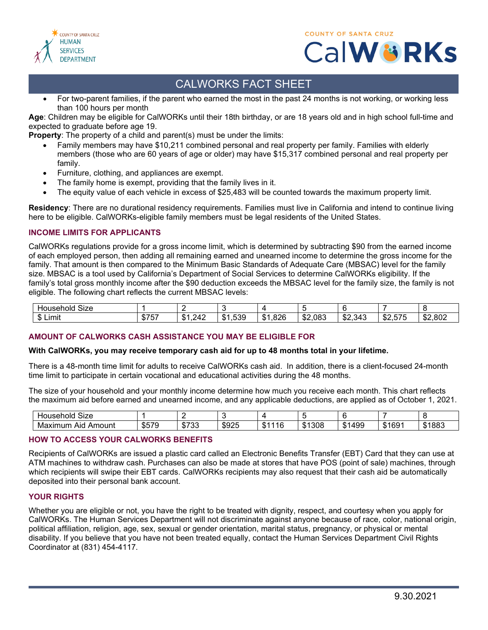





# CALWORKS FACT SHEET

• For two-parent families, if the parent who earned the most in the past 24 months is not working, or working less than 100 hours per month

**Age**: Children may be eligible for CalWORKs until their 18th birthday, or are 18 years old and in high school full-time and expected to graduate before age 19.

**Property**: The property of a child and parent(s) must be under the limits:

- Family members may have \$10,211 combined personal and real property per family. Families with elderly members (those who are 60 years of age or older) may have \$15,317 combined personal and real property per family.
- Furniture, clothing, and appliances are exempt.
- The family home is exempt, providing that the family lives in it.
- The equity value of each vehicle in excess of \$25,483 will be counted towards the maximum property limit.

**Residency**: There are no durational residency requirements. Families must live in California and intend to continue living here to be eligible. CalWORKs-eligible family members must be legal residents of the United States.

## **INCOME LIMITS FOR APPLICANTS**

CalWORKs regulations provide for a gross income limit, which is determined by subtracting \$90 from the earned income of each employed person, then adding all remaining earned and unearned income to determine the gross income for the family. That amount is then compared to the Minimum Basic Standards of Adequate Care (MBSAC) level for the family size. MBSAC is a tool used by California's Department of Social Services to determine CalWORKs eligibility. If the family's total gross monthly income after the \$90 deduction exceeds the MBSAC level for the family size, the family is not eligible. The following chart reflects the current MBSAC levels:

| $\sim$<br>SIZE<br>Household |                        |                            |                             |              |               |                 |                                                   |         |
|-----------------------------|------------------------|----------------------------|-----------------------------|--------------|---------------|-----------------|---------------------------------------------------|---------|
| .<br>Limit                  | ホーー<br>1 h<br>æ<br>، ب | 242<br>- D<br>.<br>− 1 4 — | 1,539<br>$\mathbb{C}$<br>a. | 1,826<br>\$1 | \$2,083<br>ሖጣ | \$2,343<br>. ሱ^ | . . <del>.</del><br>ሖጣ<br><u>516</u><br>- JZ.JI J | \$2,802 |

## **AMOUNT OF CALWORKS CASH ASSISTANCE YOU MAY BE ELIGIBLE FOR**

## **With CalWORKs, you may receive temporary cash aid for up to 48 months total in your lifetime.**

There is a 48-month time limit for adults to receive CalWORKs cash aid. In addition, there is a client-focused 24-month time limit to participate in certain vocational and educational activities during the 48 months.

The size of your household and your monthly income determine how much you receive each month. This chart reflects the maximum aid before earned and unearned income, and any applicable deductions, are applied as of October 1, 2021.

| -<br>וטוי<br>ס∠וכ                           |                    |                    |                    |                                |                 |                   |                           |                      |
|---------------------------------------------|--------------------|--------------------|--------------------|--------------------------------|-----------------|-------------------|---------------------------|----------------------|
| ۱ın<br>oun.<br>AK<br>– IV <sup>r</sup><br>п | $C = 2$<br>$\cdot$ | ホラハイ<br>AD 1<br>ູບ | <b>COOL</b><br>.ኬ. | $\epsilon$<br><u>гра</u><br>٠D | 308<br>π.<br>٠D | 199<br>ጡ /<br>- D | $\sim$<br>г.<br>Ib.<br>٠D | $\mathbf{m}$ .<br>۰п |

## **HOW TO ACCESS YOUR CALWORKS BENEFITS**

Recipients of CalWORKs are issued a plastic card called an Electronic Benefits Transfer (EBT) Card that they can use at ATM machines to withdraw cash. Purchases can also be made at stores that have POS (point of sale) machines, through which recipients will swipe their EBT cards. CalWORKs recipients may also request that their cash aid be automatically deposited into their personal bank account.

## **YOUR RIGHTS**

Whether you are eligible or not, you have the right to be treated with dignity, respect, and courtesy when you apply for CalWORKs. The Human Services Department will not discriminate against anyone because of race, color, national origin, political affiliation, religion, age, sex, sexual or gender orientation, marital status, pregnancy, or physical or mental disability. If you believe that you have not been treated equally, contact the Human Services Department Civil Rights Coordinator at (831) 454-4117.